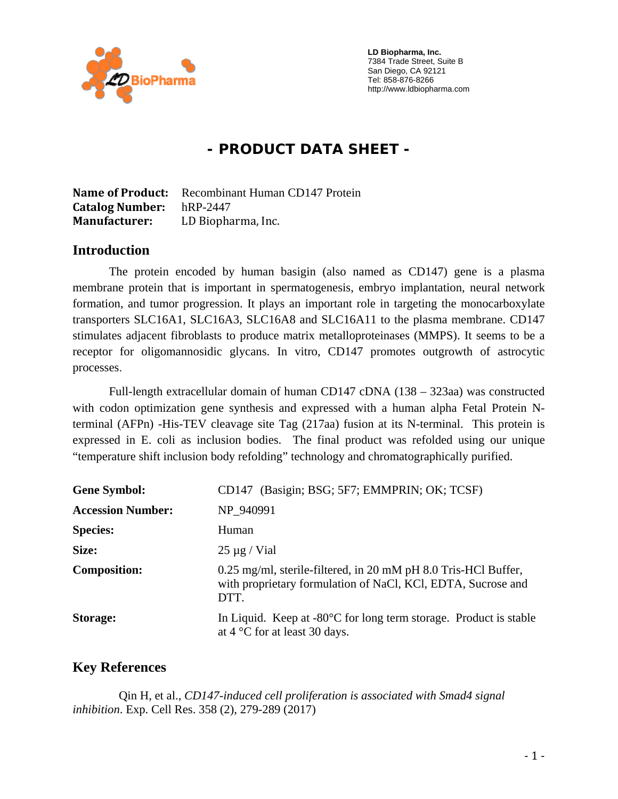

 **LD Biopharma, Inc.**  7384 Trade Street, Suite B San Diego, CA 92121 Tel: 858-876-8266 http://www.ldbiopharma.com

# **- PRODUCT DATA SHEET -**

**Name of Product:** Recombinant Human CD147 Protein **Catalog Number:** hRP-2447 **Manufacturer:** LD Biopharma, Inc.

#### **Introduction**

The protein encoded by human basigin (also named as CD147) gene is a plasma membrane protein that is important in spermatogenesis, embryo implantation, neural network formation, and tumor progression. It plays an important role in targeting the monocarboxylate transporters SLC16A1, SLC16A3, SLC16A8 and SLC16A11 to the plasma membrane. CD147 stimulates adjacent fibroblasts to produce matrix metalloproteinases (MMPS). It seems to be a receptor for oligomannosidic glycans. In vitro, CD147 promotes outgrowth of astrocytic processes.

Full-length extracellular domain of human CD147 cDNA (138 – 323aa) was constructed with codon optimization gene synthesis and expressed with a human alpha Fetal Protein Nterminal (AFPn) -His-TEV cleavage site Tag (217aa) fusion at its N-terminal. This protein is expressed in E. coli as inclusion bodies. The final product was refolded using our unique "temperature shift inclusion body refolding" technology and chromatographically purified.

| <b>Gene Symbol:</b>      | CD147 (Basigin; BSG; 5F7; EMMPRIN; OK; TCSF)                                                                                           |
|--------------------------|----------------------------------------------------------------------------------------------------------------------------------------|
| <b>Accession Number:</b> | NP 940991                                                                                                                              |
| <b>Species:</b>          | Human                                                                                                                                  |
| Size:                    | $25 \mu g$ / Vial                                                                                                                      |
| <b>Composition:</b>      | 0.25 mg/ml, sterile-filtered, in 20 mM pH 8.0 Tris-HCl Buffer,<br>with proprietary formulation of NaCl, KCl, EDTA, Sucrose and<br>DTT. |
| Storage:                 | In Liquid. Keep at $-80^{\circ}$ C for long term storage. Product is stable<br>at $4^{\circ}$ C for at least 30 days.                  |

#### **Key References**

 Qin H, et al., *CD147-induced cell proliferation is associated with Smad4 signal inhibition*. Exp. Cell Res. 358 (2), 279-289 (2017)